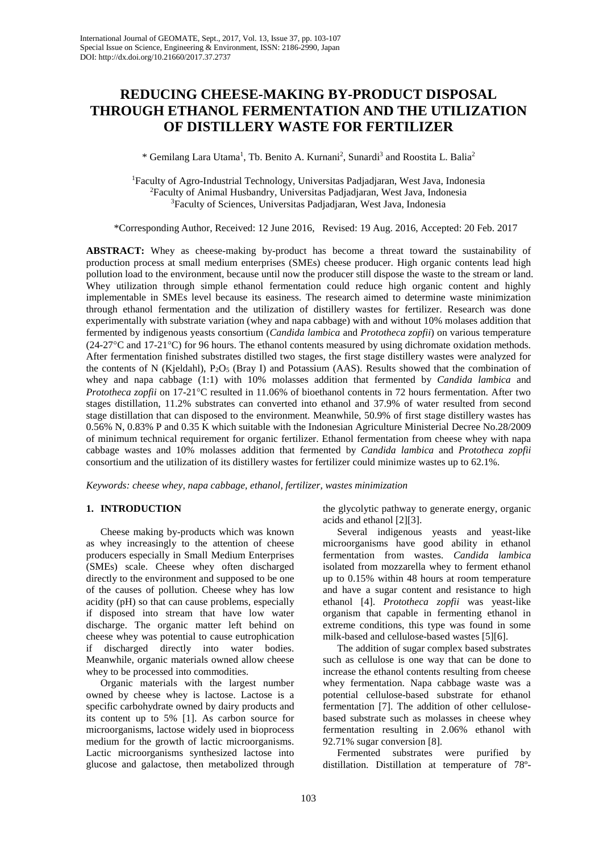# **REDUCING CHEESE-MAKING BY-PRODUCT DISPOSAL THROUGH ETHANOL FERMENTATION AND THE UTILIZATION OF DISTILLERY WASTE FOR FERTILIZER**

\* Gemilang Lara Utama<sup>1</sup>, Tb. Benito A. Kurnani<sup>2</sup>, Sunardi<sup>3</sup> and Roostita L. Balia<sup>2</sup>

1 Faculty of Agro-Industrial Technology, Universitas Padjadjaran, West Java, Indonesia 2 Faculty of Animal Husbandry, Universitas Padjadjaran, West Java, Indonesia 3 Faculty of Sciences, Universitas Padjadjaran, West Java, Indonesia

\*Corresponding Author, Received: 12 June 2016, Revised: 19 Aug. 2016, Accepted: 20 Feb. 2017

**ABSTRACT:** Whey as cheese-making by-product has become a threat toward the sustainability of production process at small medium enterprises (SMEs) cheese producer. High organic contents lead high pollution load to the environment, because until now the producer still dispose the waste to the stream or land. Whey utilization through simple ethanol fermentation could reduce high organic content and highly implementable in SMEs level because its easiness. The research aimed to determine waste minimization through ethanol fermentation and the utilization of distillery wastes for fertilizer. Research was done experimentally with substrate variation (whey and napa cabbage) with and without 10% molases addition that fermented by indigenous yeasts consortium (*Candida lambica* and *Prototheca zopfii*) on various temperature (24-27°C and 17-21°C) for 96 hours. The ethanol contents measured by using dichromate oxidation methods. After fermentation finished substrates distilled two stages, the first stage distillery wastes were analyzed for the contents of N (Kjeldahl),  $P_2O_5$  (Bray I) and Potassium (AAS). Results showed that the combination of whey and napa cabbage (1:1) with 10% molasses addition that fermented by *Candida lambica* and *Prototheca zopfii* on 17-21°C resulted in 11.06% of bioethanol contents in 72 hours fermentation. After two stages distillation, 11.2% substrates can converted into ethanol and 37.9% of water resulted from second stage distillation that can disposed to the environment. Meanwhile, 50.9% of first stage distillery wastes has 0.56% N, 0.83% P and 0.35 K which suitable with the Indonesian Agriculture Ministerial Decree No.28/2009 of minimum technical requirement for organic fertilizer. Ethanol fermentation from cheese whey with napa cabbage wastes and 10% molasses addition that fermented by *Candida lambica* and *Prototheca zopfii* consortium and the utilization of its distillery wastes for fertilizer could minimize wastes up to 62.1%.

*Keywords: cheese whey, napa cabbage, ethanol, fertilizer, wastes minimization*

## **1. INTRODUCTION**

Cheese making by-products which was known as whey increasingly to the attention of cheese producers especially in Small Medium Enterprises (SMEs) scale. Cheese whey often discharged directly to the environment and supposed to be one of the causes of pollution. Cheese whey has low acidity (pH) so that can cause problems, especially if disposed into stream that have low water discharge. The organic matter left behind on cheese whey was potential to cause eutrophication if discharged directly into water bodies. Meanwhile, organic materials owned allow cheese whey to be processed into commodities.

Organic materials with the largest number owned by cheese whey is lactose. Lactose is a specific carbohydrate owned by dairy products and its content up to 5% [1]. As carbon source for microorganisms, lactose widely used in bioprocess medium for the growth of lactic microorganisms. Lactic microorganisms synthesized lactose into glucose and galactose, then metabolized through

the glycolytic pathway to generate energy, organic acids and ethanol [2][3].

Several indigenous yeasts and yeast-like microorganisms have good ability in ethanol fermentation from wastes. *Candida lambica* isolated from mozzarella whey to ferment ethanol up to 0.15% within 48 hours at room temperature and have a sugar content and resistance to high ethanol [4]. *Prototheca zopfii* was yeast-like organism that capable in fermenting ethanol in extreme conditions, this type was found in some milk-based and cellulose-based wastes [5][6].

The addition of sugar complex based substrates such as cellulose is one way that can be done to increase the ethanol contents resulting from cheese whey fermentation. Napa cabbage waste was a potential cellulose-based substrate for ethanol fermentation [7]. The addition of other cellulosebased substrate such as molasses in cheese whey fermentation resulting in 2.06% ethanol with 92.71% sugar conversion [8].

Fermented substrates were purified by distillation. Distillation at temperature of 78º-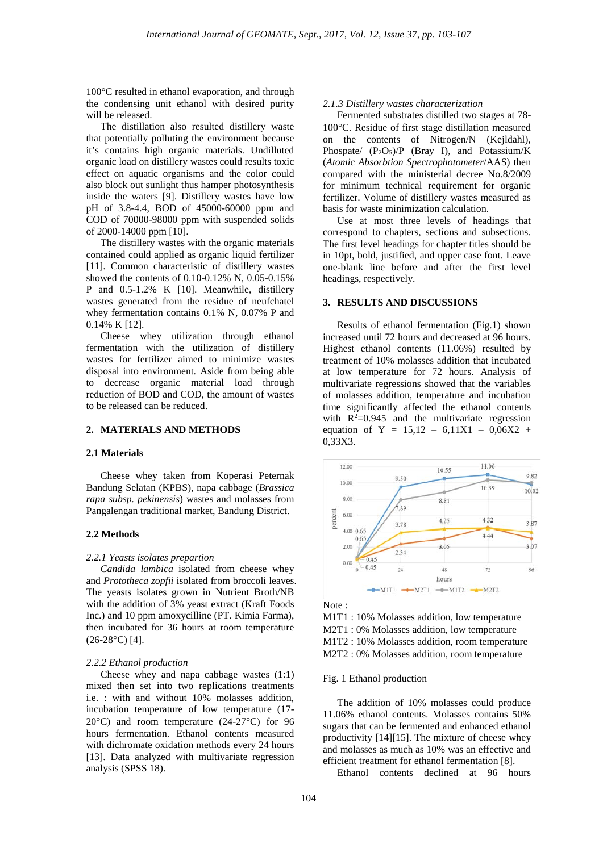100°C resulted in ethanol evaporation, and through the condensing unit ethanol with desired purity will be released.

The distillation also resulted distillery waste that potentially polluting the environment because it's contains high organic materials. Undilluted organic load on distillery wastes could results toxic effect on aquatic organisms and the color could also block out sunlight thus hamper photosynthesis inside the waters [9]. Distillery wastes have low pH of 3.8-4.4, BOD of 45000-60000 ppm and COD of 70000-98000 ppm with suspended solids of 2000-14000 ppm [10].

The distillery wastes with the organic materials contained could applied as organic liquid fertilizer [11]. Common characteristic of distillery wastes showed the contents of 0.10-0.12% N, 0.05-0.15% P and 0.5-1.2% K [10]. Meanwhile, distillery wastes generated from the residue of neufchatel whey fermentation contains 0.1% N, 0.07% P and 0.14% K [12].

Cheese whey utilization through ethanol fermentation with the utilization of distillery wastes for fertilizer aimed to minimize wastes disposal into environment. Aside from being able to decrease organic material load through reduction of BOD and COD, the amount of wastes to be released can be reduced.

## **2. MATERIALS AND METHODS**

#### **2.1 Materials**

Cheese whey taken from Koperasi Peternak Bandung Selatan (KPBS), napa cabbage (*Brassica rapa subsp. pekinensis*) wastes and molasses from Pangalengan traditional market, Bandung District.

#### **2.2 Methods**

#### *2.2.1 Yeasts isolates prepartion*

*Candida lambica* isolated from cheese whey and *Prototheca zopfii* isolated from broccoli leaves. The yeasts isolates grown in Nutrient Broth/NB with the addition of 3% yeast extract (Kraft Foods Inc.) and 10 ppm amoxycilline (PT. Kimia Farma), then incubated for 36 hours at room temperature (26-28°C) [4].

#### *2.2.2 Ethanol production*

Cheese whey and napa cabbage wastes (1:1) mixed then set into two replications treatments i.e. : with and without 10% molasses addition, incubation temperature of low temperature (17- 20°C) and room temperature (24-27°C) for 96 hours fermentation. Ethanol contents measured with dichromate oxidation methods every 24 hours [13]. Data analyzed with multivariate regression analysis (SPSS 18).

## *2.1.3 Distillery wastes characterization*

Fermented substrates distilled two stages at 78- 100°C. Residue of first stage distillation measured on the contents of Nitrogen/N (Kejldahl), Phospate/  $(P_2O_5)/P$  (Bray I), and Potassium/K (*Atomic Absorbtion Spectrophotometer*/AAS) then compared with the ministerial decree No.8/2009 for minimum technical requirement for organic fertilizer. Volume of distillery wastes measured as basis for waste minimization calculation.

Use at most three levels of headings that correspond to chapters, sections and subsections. The first level headings for chapter titles should be in 10pt, bold, justified, and upper case font. Leave one-blank line before and after the first level headings, respectively.

#### **3. RESULTS AND DISCUSSIONS**

Results of ethanol fermentation (Fig.1) shown increased until 72 hours and decreased at 96 hours. Highest ethanol contents (11.06%) resulted by treatment of 10% molasses addition that incubated at low temperature for 72 hours. Analysis of multivariate regressions showed that the variables of molasses addition, temperature and incubation time significantly affected the ethanol contents with  $R^2=0.945$  and the multivariate regression equation of  $Y = 15,12 - 6,11X1 - 0,06X2 +$ 0,33X3.



Note :

M1T1 : 10% Molasses addition, low temperature M2T1 : 0% Molasses addition, low temperature M1T2 : 10% Molasses addition, room temperature M2T2 : 0% Molasses addition, room temperature

## Fig. 1 Ethanol production

The addition of 10% molasses could produce 11.06% ethanol contents. Molasses contains 50% sugars that can be fermented and enhanced ethanol productivity [14][15]. The mixture of cheese whey and molasses as much as 10% was an effective and efficient treatment for ethanol fermentation [8].

Ethanol contents declined at 96 hours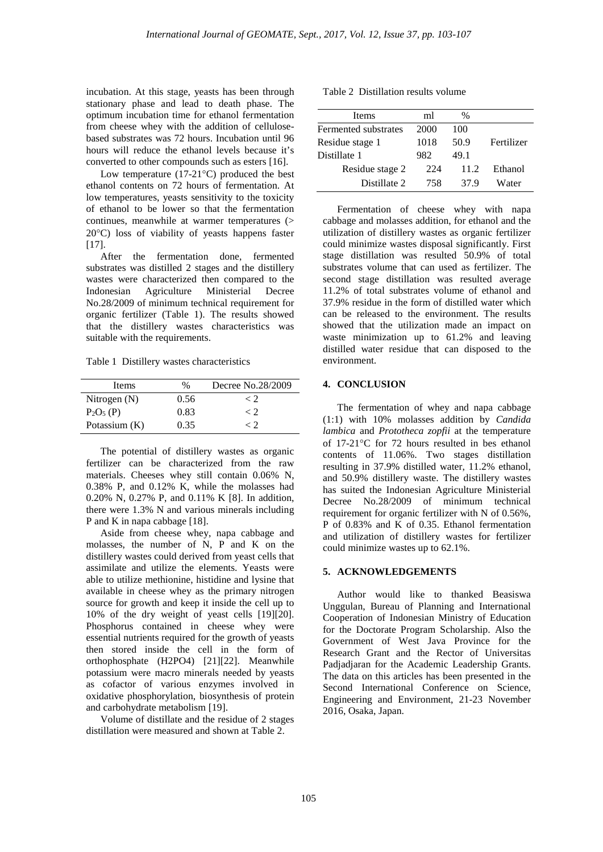incubation. At this stage, yeasts has been through stationary phase and lead to death phase. The optimum incubation time for ethanol fermentation from cheese whey with the addition of cellulosebased substrates was 72 hours. Incubation until 96 hours will reduce the ethanol levels because it's converted to other compounds such as esters [16].

Low temperature (17-21°C) produced the best ethanol contents on 72 hours of fermentation. At low temperatures, yeasts sensitivity to the toxicity of ethanol to be lower so that the fermentation continues, meanwhile at warmer temperatures (> 20°C) loss of viability of yeasts happens faster [17].

After the fermentation done, fermented substrates was distilled 2 stages and the distillery wastes were characterized then compared to the Indonesian Agriculture Ministerial Decree No.28/2009 of minimum technical requirement for organic fertilizer (Table 1). The results showed that the distillery wastes characteristics was suitable with the requirements.

Table 1 Distillery wastes characteristics

| Items          | %    | Decree No.28/2009 |
|----------------|------|-------------------|
| Nitrogen $(N)$ | 0.56 | < ').             |
| $P_2O_5(P)$    | 0.83 | < ').             |
| Potassium (K)  | 0.35 | γ9                |

The potential of distillery wastes as organic fertilizer can be characterized from the raw materials. Cheeses whey still contain 0.06% N, 0.38% P, and 0.12% K, while the molasses had 0.20% N, 0.27% P, and 0.11% K [8]. In addition, there were 1.3% N and various minerals including P and K in napa cabbage [18].

Aside from cheese whey, napa cabbage and molasses, the number of N, P and K on the distillery wastes could derived from yeast cells that assimilate and utilize the elements. Yeasts were able to utilize methionine, histidine and lysine that available in cheese whey as the primary nitrogen source for growth and keep it inside the cell up to 10% of the dry weight of yeast cells [19][20]. Phosphorus contained in cheese whey were essential nutrients required for the growth of yeasts then stored inside the cell in the form of orthophosphate (H2PO4) [21][22]. Meanwhile potassium were macro minerals needed by yeasts as cofactor of various enzymes involved in oxidative phosphorylation, biosynthesis of protein and carbohydrate metabolism [19].

Volume of distillate and the residue of 2 stages distillation were measured and shown at Table 2.

| Table 2 Distillation results volume |
|-------------------------------------|
|-------------------------------------|

| <b>Items</b>         | ml   | $\%$ |            |
|----------------------|------|------|------------|
| Fermented substrates | 2000 | 100  |            |
| Residue stage 1      | 1018 | 50.9 | Fertilizer |
| Distillate 1         | 982  | 49.1 |            |
| Residue stage 2      | 224  | 11.2 | Ethanol    |
| Distillate 2         | 758  | 37.9 | Water      |

Fermentation of cheese whey with napa cabbage and molasses addition, for ethanol and the utilization of distillery wastes as organic fertilizer could minimize wastes disposal significantly. First stage distillation was resulted 50.9% of total substrates volume that can used as fertilizer. The second stage distillation was resulted average 11.2% of total substrates volume of ethanol and 37.9% residue in the form of distilled water which can be released to the environment. The results showed that the utilization made an impact on waste minimization up to 61.2% and leaving distilled water residue that can disposed to the environment.

# **4. CONCLUSION**

The fermentation of whey and napa cabbage (1:1) with 10% molasses addition by *Candida lambica* and *Prototheca zopfii* at the temperature of 17-21°C for 72 hours resulted in bes ethanol contents of 11.06%. Two stages distillation resulting in 37.9% distilled water, 11.2% ethanol, and 50.9% distillery waste. The distillery wastes has suited the Indonesian Agriculture Ministerial Decree No.28/2009 of minimum technical requirement for organic fertilizer with N of 0.56%, P of 0.83% and K of 0.35. Ethanol fermentation and utilization of distillery wastes for fertilizer could minimize wastes up to 62.1%.

## **5. ACKNOWLEDGEMENTS**

Author would like to thanked Beasiswa Unggulan, Bureau of Planning and International Cooperation of Indonesian Ministry of Education for the Doctorate Program Scholarship. Also the Government of West Java Province for the Research Grant and the Rector of Universitas Padjadjaran for the Academic Leadership Grants. The data on this articles has been presented in the Second International Conference on Science, Engineering and Environment, 21-23 November 2016, Osaka, Japan.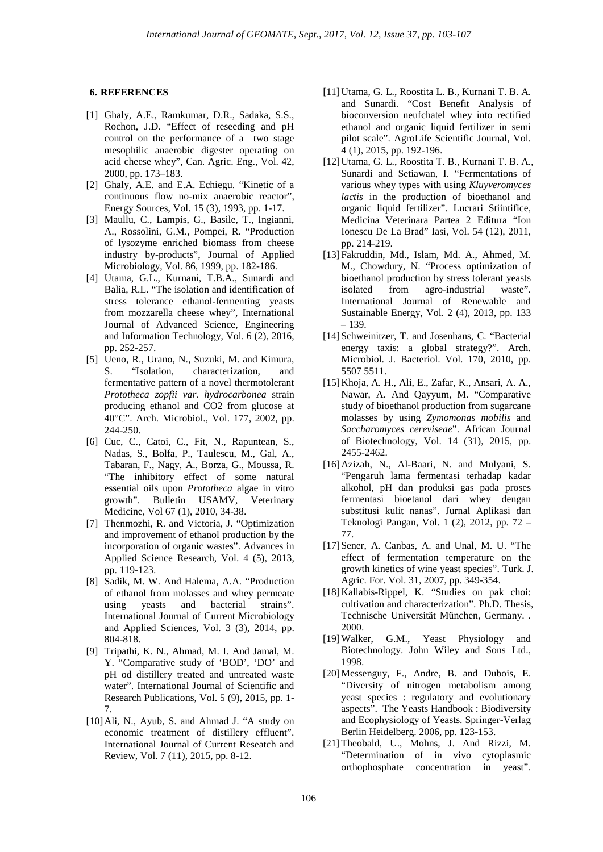## **6. REFERENCES**

- [1] Ghaly, A.E., Ramkumar, D.R., Sadaka, S.S., Rochon, J.D. "Effect of reseeding and pH control on the performance of a two stage mesophilic anaerobic digester operating on acid cheese whey", Can. Agric. Eng., Vol. 42, 2000, pp. 173–183.
- [2] Ghaly, A.E. and E.A. Echiegu. "Kinetic of a continuous flow no-mix anaerobic reactor", Energy Sources, Vol. 15 (3), 1993, pp. 1-17.
- [3] Maullu, C., Lampis, G., Basile, T., Ingianni, A., Rossolini, G.M., Pompei, R. "Production of lysozyme enriched biomass from cheese industry by-products", Journal of Applied Microbiology, Vol. 86, 1999, pp. 182-186.
- [4] Utama, G.L., Kurnani, T.B.A., Sunardi and Balia, R.L. "The isolation and identification of stress tolerance ethanol-fermenting yeasts from mozzarella cheese whey", International Journal of Advanced Science, Engineering and Information Technology, Vol. 6 (2), 2016, pp. 252-257.
- [5] Ueno, R., Urano, N., Suzuki, M. and Kimura, S. "Isolation, characterization, and fermentative pattern of a novel thermotolerant *Prototheca zopfii var. hydrocarbonea* strain producing ethanol and CO2 from glucose at 40°C". Arch. Microbiol., Vol. 177, 2002, pp. 244-250.
- [6] Cuc, C., Catoi, C., Fit, N., Rapuntean, S., Nadas, S., Bolfa, P., Taulescu, M., Gal, A., Tabaran, F., Nagy, A., Borza, G., Moussa, R. "The inhibitory effect of some natural essential oils upon *Prototheca* algae in vitro growth". Bulletin USAMV, Veterinary Medicine, Vol 67 (1), 2010, 34-38.
- [7] Thenmozhi, R. and Victoria, J. "Optimization and improvement of ethanol production by the incorporation of organic wastes". Advances in Applied Science Research, Vol. 4 (5), 2013, pp. 119-123.
- [8] Sadik, M. W. And Halema, A.A. "Production of ethanol from molasses and whey permeate using yeasts and bacterial strains". International Journal of Current Microbiology and Applied Sciences, Vol. 3 (3), 2014, pp. 804-818.
- [9] Tripathi, K. N., Ahmad, M. I. And Jamal, M. Y. "Comparative study of 'BOD', 'DO' and pH od distillery treated and untreated waste water". International Journal of Scientific and Research Publications, Vol. 5 (9), 2015, pp. 1- 7.
- [10]Ali, N., Ayub, S. and Ahmad J. "A study on economic treatment of distillery effluent". International Journal of Current Reseatch and Review, Vol. 7 (11), 2015, pp. 8-12.
- [11]Utama, G. L., Roostita L. B., Kurnani T. B. A. and Sunardi. "Cost Benefit Analysis of bioconversion neufchatel whey into rectified ethanol and organic liquid fertilizer in semi pilot scale". AgroLife Scientific Journal, Vol. 4 (1), 2015, pp. 192-196.
- [12]Utama, G. L., Roostita T. B., Kurnani T. B. A., Sunardi and Setiawan, I. "Fermentations of various whey types with using *Kluyveromyces lactis* in the production of bioethanol and organic liquid fertilizer". Lucrari Stiintifice, Medicina Veterinara Partea 2 Editura "Ion Ionescu De La Brad" Iasi, Vol. 54 (12), 2011, pp. 214-219.
- [13]Fakruddin, Md., Islam, Md. A., Ahmed, M. M., Chowdury, N. "Process optimization of bioethanol production by stress tolerant yeasts isolated from agro-industrial waste". International Journal of Renewable and Sustainable Energy, Vol. 2 (4), 2013, pp. 133 – 139.
- [14] Schweinitzer, T. and Josenhans, C. "Bacterial energy taxis: a global strategy?". Arch. Microbiol. J. Bacteriol. Vol. 170, 2010, pp. 5507 5511.
- [15]Khoja, A. H., Ali, E., Zafar, K., Ansari, A. A., Nawar, A. And Qayyum, M. "Comparative study of bioethanol production from sugarcane molasses by using *Zymomonas mobilis* and *Saccharomyces cereviseae*". African Journal of Biotechnology, Vol. 14 (31), 2015, pp. 2455-2462.
- [16]Azizah, N., Al-Baari, N. and Mulyani, S. "Pengaruh lama fermentasi terhadap kadar alkohol, pH dan produksi gas pada proses fermentasi bioetanol dari whey dengan substitusi kulit nanas". Jurnal Aplikasi dan Teknologi Pangan, Vol. 1 (2), 2012, pp. 72 – 77.
- [17]Sener, A. Canbas, A. and Unal, M. U. "The effect of fermentation temperature on the growth kinetics of wine yeast species". Turk. J. Agric. For. Vol. 31, 2007, pp. 349-354.
- [18]Kallabis-Rippel, K. "Studies on pak choi: cultivation and characterization". Ph.D. Thesis, Technische Universität München, Germany. . 2000.
- [19]Walker, G.M., Yeast Physiology and Biotechnology. John Wiley and Sons Ltd., 1998.
- [20]Messenguy, F., Andre, B. and Dubois, E. "Diversity of nitrogen metabolism among yeast species : regulatory and evolutionary aspects". The Yeasts Handbook : Biodiversity and Ecophysiology of Yeasts. Springer-Verlag Berlin Heidelberg. 2006, pp. 123-153.
- [21]Theobald, U., Mohns, J. And Rizzi, M. "Determination of in vivo cytoplasmic orthophosphate concentration in yeast".